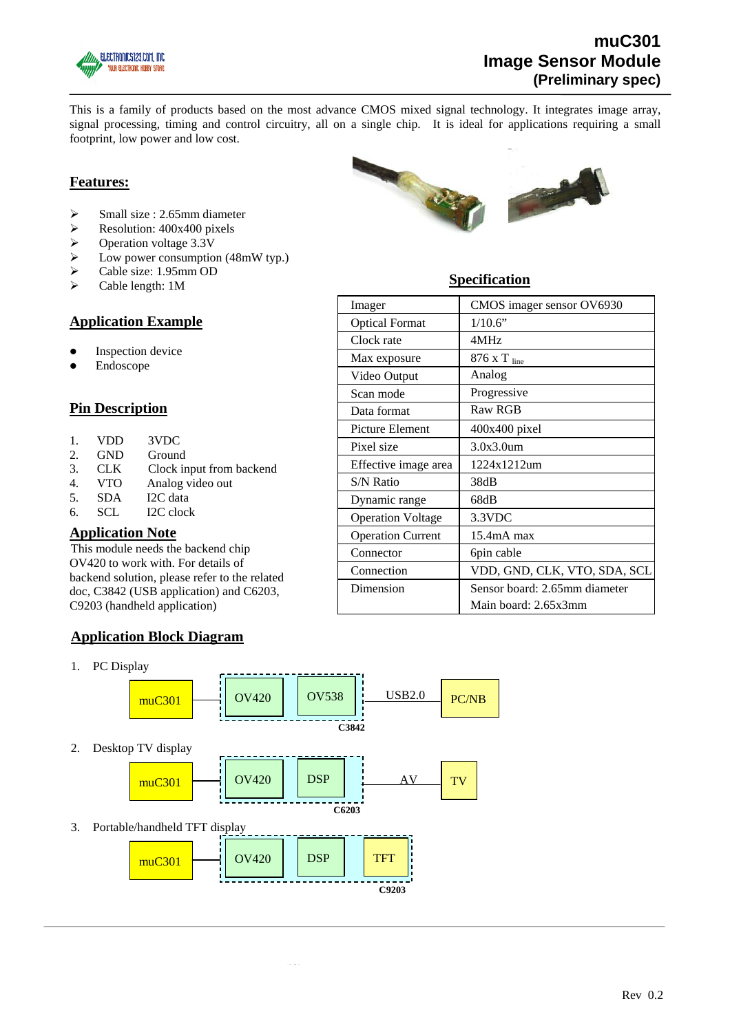

# **muC301 Image Sensor Module (Preliminary spec)**

This is a family of products based on the most advance CMOS mixed signal technology. It integrates image array, signal processing, timing and control circuitry, all on a single chip. It is ideal for applications requiring a small footprint, low power and low cost.

## **Features:**

- $\triangleright$  Small size : 2.65mm diameter
- $\triangleright$  Resolution: 400x400 pixels
- $\triangleright$  Operation voltage 3.3V
- $\triangleright$  Low power consumption (48mW typ.)
- ¾ Cable size: 1.95mm OD
- $\triangleright$  Cable length: 1M

## **Application Example**

- Inspection device
- Endoscope

## **Pin Description**

- 1. VDD 3VDC
- 2. GND Ground
- 3. CLK Clock input from backend
- 4. VTO Analog video out
- 5. SDA I2C data
- 6. SCL I2C clock

### **Application Note**

This module needs the backend chip OV420 to work with. For details of backend solution, please refer to the related doc, C3842 (USB application) and C6203, C9203 (handheld application)

### **Application Block Diagram**

1. PC Display



**C9203** 



# **Specification**

| Imager                   | CMOS imager sensor OV6930          |
|--------------------------|------------------------------------|
| <b>Optical Format</b>    | 1/10.6"                            |
| Clock rate               | 4MHz                               |
| Max exposure             | $876$ X T $_{\text{line}}$         |
| Video Output             | Analog                             |
| Scan mode                | Progressive                        |
| Data format              | Raw RGB                            |
| <b>Picture Element</b>   | 400x400 pixel                      |
| Pixel size               | 3.0x3.0um                          |
| Effective image area     | 1224x1212um                        |
| S/N Ratio                | 38dB                               |
| Dynamic range            | 68dB                               |
| <b>Operation Voltage</b> | 3.3VDC                             |
| <b>Operation Current</b> | 15.4 <sub>m</sub> A <sub>max</sub> |
| Connector                | 6pin cable                         |
| Connection               | VDD, GND, CLK, VTO, SDA, SCL       |
| Dimension                | Sensor board: 2.65mm diameter      |
|                          | Main board: 2.65x3mm               |
|                          |                                    |